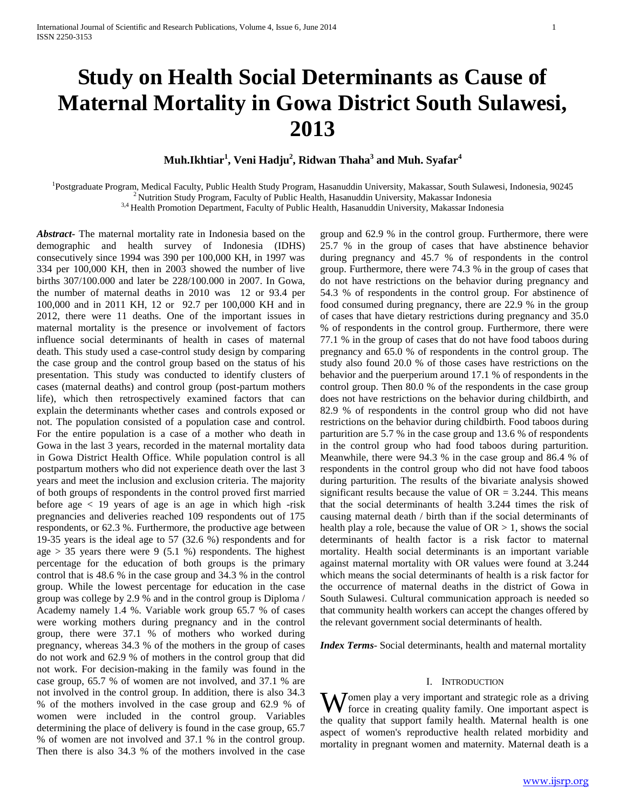# **Study on Health Social Determinants as Cause of Maternal Mortality in Gowa District South Sulawesi, 2013**

## **Muh.Ikhtiar<sup>1</sup> , Veni Hadju<sup>2</sup> , Ridwan Thaha<sup>3</sup> and Muh. Syafar<sup>4</sup>**

<sup>1</sup>Postgraduate Program, Medical Faculty, Public Health Study Program, Hasanuddin University, Makassar, South Sulawesi, Indonesia, 90245  $<sup>2</sup>$  Nutrition Study Program, Faculty of Public Health, Hasanuddin University, Makassar Indonesia</sup> <sup>3,4</sup> Health Promotion Department, Faculty of Public Health, Hasanuddin University, Makassar Indonesia

*Abstract***-** The maternal mortality rate in Indonesia based on the demographic and health survey of Indonesia (IDHS) consecutively since 1994 was 390 per 100,000 KH, in 1997 was 334 per 100,000 KH, then in 2003 showed the number of live births 307/100.000 and later be 228/100.000 in 2007. In Gowa, the number of maternal deaths in 2010 was 12 or 93.4 per 100,000 and in 2011 KH, 12 or 92.7 per 100,000 KH and in 2012, there were 11 deaths. One of the important issues in maternal mortality is the presence or involvement of factors influence social determinants of health in cases of maternal death. This study used a case-control study design by comparing the case group and the control group based on the status of his presentation. This study was conducted to identify clusters of cases (maternal deaths) and control group (post-partum mothers life), which then retrospectively examined factors that can explain the determinants whether cases and controls exposed or not. The population consisted of a population case and control. For the entire population is a case of a mother who death in Gowa in the last 3 years, recorded in the maternal mortality data in Gowa District Health Office. While population control is all postpartum mothers who did not experience death over the last 3 years and meet the inclusion and exclusion criteria. The majority of both groups of respondents in the control proved first married before age  $\langle 19 \rangle$  years of age is an age in which high -risk pregnancies and deliveries reached 109 respondents out of 175 respondents, or 62.3 %. Furthermore, the productive age between 19-35 years is the ideal age to 57 (32.6 %) respondents and for age  $> 35$  years there were 9 (5.1 %) respondents. The highest percentage for the education of both groups is the primary control that is 48.6 % in the case group and 34.3 % in the control group. While the lowest percentage for education in the case group was college by 2.9 % and in the control group is Diploma / Academy namely 1.4 %. Variable work group 65.7 % of cases were working mothers during pregnancy and in the control group, there were 37.1 % of mothers who worked during pregnancy, whereas 34.3 % of the mothers in the group of cases do not work and 62.9 % of mothers in the control group that did not work. For decision-making in the family was found in the case group, 65.7 % of women are not involved, and 37.1 % are not involved in the control group. In addition, there is also 34.3 % of the mothers involved in the case group and 62.9 % of women were included in the control group. Variables determining the place of delivery is found in the case group, 65.7 % of women are not involved and 37.1 % in the control group. Then there is also 34.3 % of the mothers involved in the case

group and 62.9 % in the control group. Furthermore, there were 25.7 % in the group of cases that have abstinence behavior during pregnancy and 45.7 % of respondents in the control group. Furthermore, there were 74.3 % in the group of cases that do not have restrictions on the behavior during pregnancy and 54.3 % of respondents in the control group. For abstinence of food consumed during pregnancy, there are 22.9 % in the group of cases that have dietary restrictions during pregnancy and 35.0 % of respondents in the control group. Furthermore, there were 77.1 % in the group of cases that do not have food taboos during pregnancy and 65.0 % of respondents in the control group. The study also found 20.0 % of those cases have restrictions on the behavior and the puerperium around 17.1 % of respondents in the control group. Then 80.0 % of the respondents in the case group does not have restrictions on the behavior during childbirth, and 82.9 % of respondents in the control group who did not have restrictions on the behavior during childbirth. Food taboos during parturition are 5.7 % in the case group and 13.6 % of respondents in the control group who had food taboos during parturition. Meanwhile, there were 94.3 % in the case group and 86.4 % of respondents in the control group who did not have food taboos during parturition. The results of the bivariate analysis showed significant results because the value of  $OR = 3.244$ . This means that the social determinants of health 3.244 times the risk of causing maternal death / birth than if the social determinants of health play a role, because the value of  $OR > 1$ , shows the social determinants of health factor is a risk factor to maternal mortality. Health social determinants is an important variable against maternal mortality with OR values were found at 3.244 which means the social determinants of health is a risk factor for the occurrence of maternal deaths in the district of Gowa in South Sulawesi. Cultural communication approach is needed so that community health workers can accept the changes offered by the relevant government social determinants of health.

*Index Terms*- Social determinants, health and maternal mortality

#### I. INTRODUCTION

Women play a very important and strategic role as a driving<br>force in creating quality family. One important aspect is force in creating quality family. One important aspect is the quality that support family health. Maternal health is one aspect of women's reproductive health related morbidity and mortality in pregnant women and maternity. Maternal death is a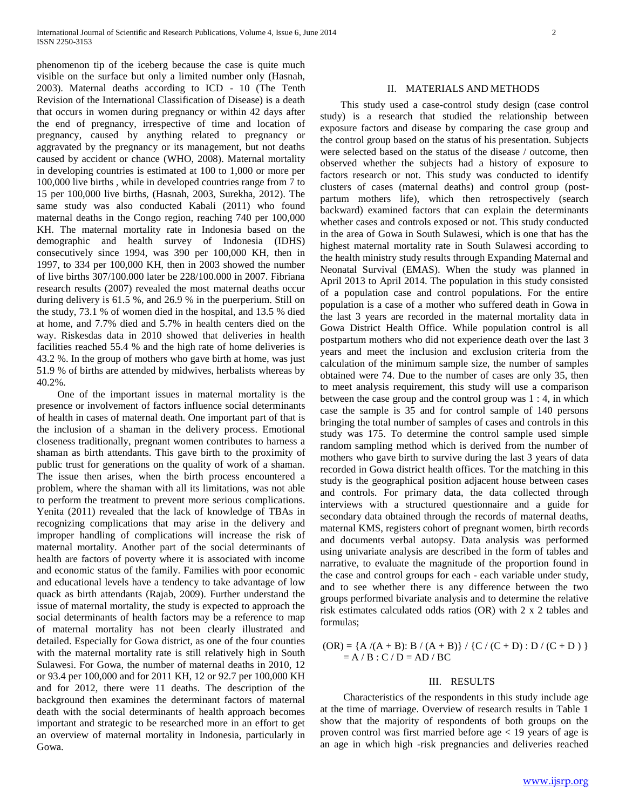phenomenon tip of the iceberg because the case is quite much visible on the surface but only a limited number only (Hasnah, 2003). Maternal deaths according to ICD - 10 (The Tenth Revision of the International Classification of Disease) is a death that occurs in women during pregnancy or within 42 days after the end of pregnancy, irrespective of time and location of pregnancy, caused by anything related to pregnancy or aggravated by the pregnancy or its management, but not deaths caused by accident or chance (WHO, 2008). Maternal mortality in developing countries is estimated at 100 to 1,000 or more per 100,000 live births , while in developed countries range from 7 to 15 per 100,000 live births, (Hasnah, 2003, Surekha, 2012). The same study was also conducted Kabali (2011) who found maternal deaths in the Congo region, reaching 740 per 100,000 KH. The maternal mortality rate in Indonesia based on the demographic and health survey of Indonesia (IDHS) consecutively since 1994, was 390 per 100,000 KH, then in 1997, to 334 per 100,000 KH, then in 2003 showed the number of live births 307/100.000 later be 228/100.000 in 2007. Fibriana research results (2007) revealed the most maternal deaths occur during delivery is 61.5 %, and 26.9 % in the puerperium. Still on the study, 73.1 % of women died in the hospital, and 13.5 % died at home, and 7.7% died and 5.7% in health centers died on the way. Riskesdas data in 2010 showed that deliveries in health facilities reached 55.4 % and the high rate of home deliveries is 43.2 %. In the group of mothers who gave birth at home, was just 51.9 % of births are attended by midwives, herbalists whereas by 40.2%.

 One of the important issues in maternal mortality is the presence or involvement of factors influence social determinants of health in cases of maternal death. One important part of that is the inclusion of a shaman in the delivery process. Emotional closeness traditionally, pregnant women contributes to harness a shaman as birth attendants. This gave birth to the proximity of public trust for generations on the quality of work of a shaman. The issue then arises, when the birth process encountered a problem, where the shaman with all its limitations, was not able to perform the treatment to prevent more serious complications. Yenita (2011) revealed that the lack of knowledge of TBAs in recognizing complications that may arise in the delivery and improper handling of complications will increase the risk of maternal mortality. Another part of the social determinants of health are factors of poverty where it is associated with income and economic status of the family. Families with poor economic and educational levels have a tendency to take advantage of low quack as birth attendants (Rajab, 2009). Further understand the issue of maternal mortality, the study is expected to approach the social determinants of health factors may be a reference to map of maternal mortality has not been clearly illustrated and detailed. Especially for Gowa district, as one of the four counties with the maternal mortality rate is still relatively high in South Sulawesi. For Gowa, the number of maternal deaths in 2010, 12 or 93.4 per 100,000 and for 2011 KH, 12 or 92.7 per 100,000 KH and for 2012, there were 11 deaths. The description of the background then examines the determinant factors of maternal death with the social determinants of health approach becomes important and strategic to be researched more in an effort to get an overview of maternal mortality in Indonesia, particularly in Gowa.

#### II. MATERIALS AND METHODS

 This study used a case-control study design (case control study) is a research that studied the relationship between exposure factors and disease by comparing the case group and the control group based on the status of his presentation. Subjects were selected based on the status of the disease / outcome, then observed whether the subjects had a history of exposure to factors research or not. This study was conducted to identify clusters of cases (maternal deaths) and control group (postpartum mothers life), which then retrospectively (search backward) examined factors that can explain the determinants whether cases and controls exposed or not. This study conducted in the area of Gowa in South Sulawesi, which is one that has the highest maternal mortality rate in South Sulawesi according to the health ministry study results through Expanding Maternal and Neonatal Survival (EMAS). When the study was planned in April 2013 to April 2014. The population in this study consisted of a population case and control populations. For the entire population is a case of a mother who suffered death in Gowa in the last 3 years are recorded in the maternal mortality data in Gowa District Health Office. While population control is all postpartum mothers who did not experience death over the last 3 years and meet the inclusion and exclusion criteria from the calculation of the minimum sample size, the number of samples obtained were 74. Due to the number of cases are only 35, then to meet analysis requirement, this study will use a comparison between the case group and the control group was 1 : 4, in which case the sample is 35 and for control sample of 140 persons bringing the total number of samples of cases and controls in this study was 175. To determine the control sample used simple random sampling method which is derived from the number of mothers who gave birth to survive during the last 3 years of data recorded in Gowa district health offices. Tor the matching in this study is the geographical position adjacent house between cases and controls. For primary data, the data collected through interviews with a structured questionnaire and a guide for secondary data obtained through the records of maternal deaths, maternal KMS, registers cohort of pregnant women, birth records and documents verbal autopsy. Data analysis was performed using univariate analysis are described in the form of tables and narrative, to evaluate the magnitude of the proportion found in the case and control groups for each - each variable under study, and to see whether there is any difference between the two groups performed bivariate analysis and to determine the relative risk estimates calculated odds ratios (OR) with 2 x 2 tables and formulas;

 $(OR) = {A/(A+B): B/(A+B)} / {C/(C+D): D/(C+D)}$  $= A / B : C / D = AD / BC$ 

#### III. RESULTS

 Characteristics of the respondents in this study include age at the time of marriage. Overview of research results in Table 1 show that the majority of respondents of both groups on the proven control was first married before age < 19 years of age is an age in which high -risk pregnancies and deliveries reached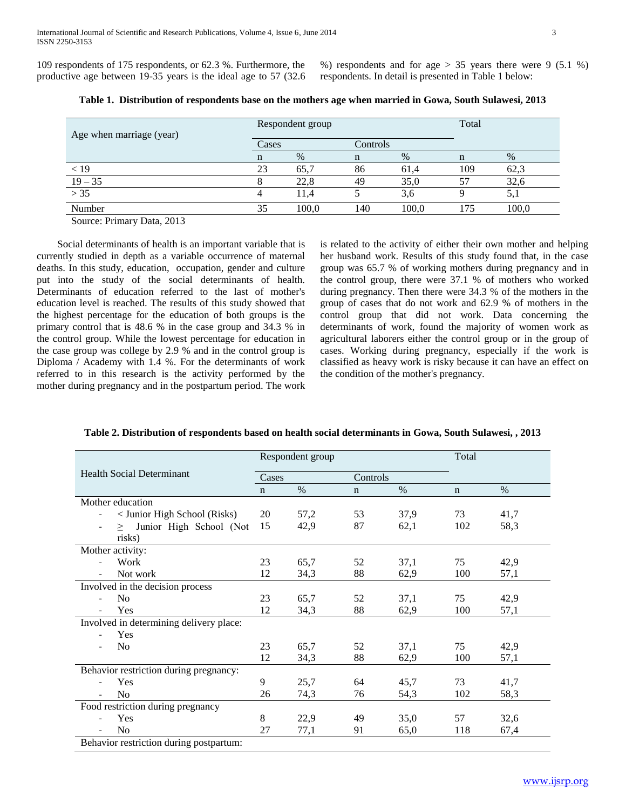109 respondents of 175 respondents, or 62.3 %. Furthermore, the productive age between 19-35 years is the ideal age to 57 (32.6 %) respondents and for age  $> 35$  years there were 9 (5.1 %) respondents. In detail is presented in Table 1 below:

| Age when marriage (year) |       | Respondent group | Total    |       |     |       |
|--------------------------|-------|------------------|----------|-------|-----|-------|
|                          | Cases |                  | Controls |       |     |       |
|                          |       | %                |          | %     |     | $\%$  |
| < 19                     | 23    | 65,7             | 86       | 61,4  | 109 | 62,3  |
| $19 - 35$                |       | 22,8             | 49       | 35,0  |     | 32,6  |
| > 35                     |       | 11.4             |          | 3,6   |     | 5,1   |
| Number                   | 35    | 100,0            | 140      | 100,0 | 175 | 100,0 |
|                          |       |                  |          |       |     |       |

**Table 1. Distribution of respondents base on the mothers age when married in Gowa, South Sulawesi, 2013**

Source: Primary Data, 2013

 Social determinants of health is an important variable that is currently studied in depth as a variable occurrence of maternal deaths. In this study, education, occupation, gender and culture put into the study of the social determinants of health. Determinants of education referred to the last of mother's education level is reached. The results of this study showed that the highest percentage for the education of both groups is the primary control that is 48.6 % in the case group and 34.3 % in the control group. While the lowest percentage for education in the case group was college by 2.9 % and in the control group is Diploma / Academy with 1.4 %. For the determinants of work referred to in this research is the activity performed by the mother during pregnancy and in the postpartum period. The work

is related to the activity of either their own mother and helping her husband work. Results of this study found that, in the case group was 65.7 % of working mothers during pregnancy and in the control group, there were 37.1 % of mothers who worked during pregnancy. Then there were 34.3 % of the mothers in the group of cases that do not work and 62.9 % of mothers in the control group that did not work. Data concerning the determinants of work, found the majority of women work as agricultural laborers either the control group or in the group of cases. Working during pregnancy, especially if the work is classified as heavy work is risky because it can have an effect on the condition of the mother's pregnancy.

|                                            | Respondent group |       |             |          | Total       |      |  |
|--------------------------------------------|------------------|-------|-------------|----------|-------------|------|--|
| <b>Health Social Determinant</b>           |                  | Cases |             | Controls |             |      |  |
|                                            | $\mathbf n$      | $\%$  | $\mathbf n$ | $\%$     | $\mathbf n$ | $\%$ |  |
| Mother education                           |                  |       |             |          |             |      |  |
| < Junior High School (Risks)               | 20               | 57,2  | 53          | 37,9     | 73          | 41,7 |  |
| Junior High School (Not<br>>               | 15               | 42,9  | 87          | 62,1     | 102         | 58,3 |  |
| risks)                                     |                  |       |             |          |             |      |  |
| Mother activity:                           |                  |       |             |          |             |      |  |
| Work<br>$\blacksquare$                     | 23               | 65,7  | 52          | 37,1     | 75          | 42,9 |  |
| Not work                                   | 12               | 34,3  | 88          | 62,9     | 100         | 57,1 |  |
| Involved in the decision process           |                  |       |             |          |             |      |  |
| N <sub>0</sub><br>$\overline{\phantom{a}}$ | 23               | 65,7  | 52          | 37,1     | 75          | 42,9 |  |
| Yes                                        | 12               | 34,3  | 88          | 62,9     | 100         | 57,1 |  |
| Involved in determining delivery place:    |                  |       |             |          |             |      |  |
| Yes<br>$\overline{\phantom{a}}$            |                  |       |             |          |             |      |  |
| No                                         | 23               | 65,7  | 52          | 37,1     | 75          | 42,9 |  |
|                                            | 12               | 34,3  | 88          | 62,9     | 100         | 57,1 |  |
| Behavior restriction during pregnancy:     |                  |       |             |          |             |      |  |
| Yes<br>$\blacksquare$                      | 9                | 25,7  | 64          | 45,7     | 73          | 41,7 |  |
| No                                         | 26               | 74,3  | 76          | 54,3     | 102         | 58,3 |  |
| Food restriction during pregnancy          |                  |       |             |          |             |      |  |
| Yes                                        | 8                | 22,9  | 49          | 35,0     | 57          | 32,6 |  |
| No                                         | 27               | 77,1  | 91          | 65,0     | 118         | 67,4 |  |
| Behavior restriction during postpartum:    |                  |       |             |          |             |      |  |

#### **Table 2. Distribution of respondents based on health social determinants in Gowa, South Sulawesi, , 2013**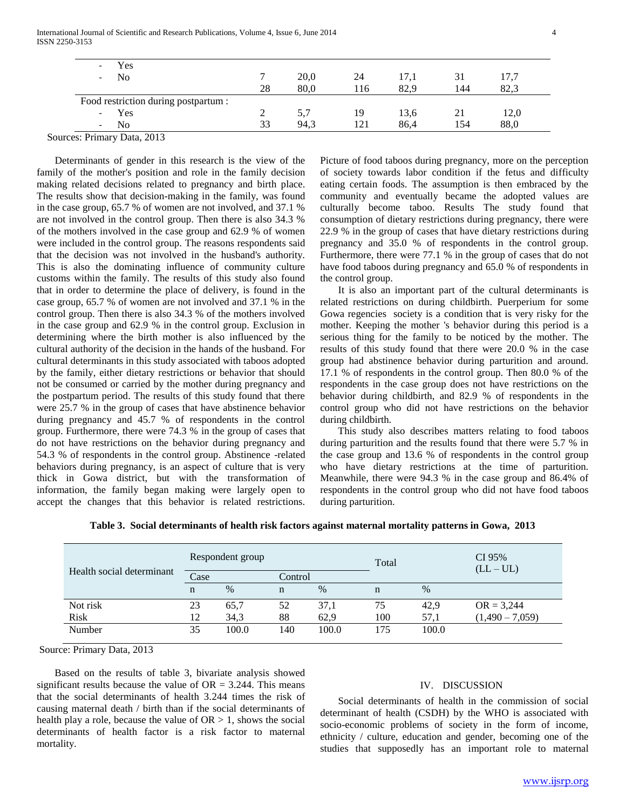| Yes<br>$\overline{\phantom{a}}$                |    |      |      |      |     |      |
|------------------------------------------------|----|------|------|------|-----|------|
| No<br>$\overline{\phantom{0}}$                 |    | 20,0 | 24   | 17,1 |     |      |
|                                                | 28 | 80,0 | l 16 | 82,9 | 144 | 82.3 |
| Food restriction during postpartum :           |    |      |      |      |     |      |
| Yes<br>$\overline{\phantom{0}}$                |    | 5,7  | 19   | 13,6 | 21  | 12,0 |
| N <sub>0</sub><br>$\qquad \qquad \blacksquare$ | 33 | 94.3 | 121  | 86.4 | 154 | 88,0 |

Sources: Primary Data, 2013

 Determinants of gender in this research is the view of the family of the mother's position and role in the family decision making related decisions related to pregnancy and birth place. The results show that decision-making in the family, was found in the case group, 65.7 % of women are not involved, and 37.1 % are not involved in the control group. Then there is also 34.3 % of the mothers involved in the case group and 62.9 % of women were included in the control group. The reasons respondents said that the decision was not involved in the husband's authority. This is also the dominating influence of community culture customs within the family. The results of this study also found that in order to determine the place of delivery, is found in the case group, 65.7 % of women are not involved and 37.1 % in the control group. Then there is also 34.3 % of the mothers involved in the case group and 62.9 % in the control group. Exclusion in determining where the birth mother is also influenced by the cultural authority of the decision in the hands of the husband. For cultural determinants in this study associated with taboos adopted by the family, either dietary restrictions or behavior that should not be consumed or carried by the mother during pregnancy and the postpartum period. The results of this study found that there were 25.7 % in the group of cases that have abstinence behavior during pregnancy and 45.7 % of respondents in the control group. Furthermore, there were 74.3 % in the group of cases that do not have restrictions on the behavior during pregnancy and 54.3 % of respondents in the control group. Abstinence -related behaviors during pregnancy, is an aspect of culture that is very thick in Gowa district, but with the transformation of information, the family began making were largely open to accept the changes that this behavior is related restrictions.

Picture of food taboos during pregnancy, more on the perception of society towards labor condition if the fetus and difficulty eating certain foods. The assumption is then embraced by the community and eventually became the adopted values are culturally become taboo. Results The study found that consumption of dietary restrictions during pregnancy, there were 22.9 % in the group of cases that have dietary restrictions during pregnancy and 35.0 % of respondents in the control group. Furthermore, there were 77.1 % in the group of cases that do not have food taboos during pregnancy and 65.0 % of respondents in the control group.

 It is also an important part of the cultural determinants is related restrictions on during childbirth. Puerperium for some Gowa regencies society is a condition that is very risky for the mother. Keeping the mother 's behavior during this period is a serious thing for the family to be noticed by the mother. The results of this study found that there were 20.0 % in the case group had abstinence behavior during parturition and around. 17.1 % of respondents in the control group. Then 80.0 % of the respondents in the case group does not have restrictions on the behavior during childbirth, and 82.9 % of respondents in the control group who did not have restrictions on the behavior during childbirth.

 This study also describes matters relating to food taboos during parturition and the results found that there were 5.7 % in the case group and 13.6 % of respondents in the control group who have dietary restrictions at the time of parturition. Meanwhile, there were 94.3 % in the case group and 86.4% of respondents in the control group who did not have food taboos during parturition.

|                           |             | Respondent group |         |       | Total |       | CI 95%<br>$(LL-UL)$ |  |
|---------------------------|-------------|------------------|---------|-------|-------|-------|---------------------|--|
| Health social determinant | Case        |                  | Control |       |       |       |                     |  |
|                           | $\mathbf n$ | $\%$             | n       | $\%$  | n     | $\%$  |                     |  |
| Not risk                  | 23          | 65,7             | 52      | 37,1  | 75    | 42,9  | $OR = 3,244$        |  |
| <b>Risk</b>               | 12          | 34,3             | 88      | 62,9  | 100   | 57,1  | $(1,490 - 7,059)$   |  |
| Number                    | 35          | 100.0            | 140     | 100.0 | 175   | 100.0 |                     |  |

**Table 3. Social determinants of health risk factors against maternal mortality patterns in Gowa, 2013**

Source: Primary Data, 2013

 Based on the results of table 3, bivariate analysis showed significant results because the value of  $OR = 3.244$ . This means that the social determinants of health 3.244 times the risk of causing maternal death / birth than if the social determinants of health play a role, because the value of  $OR > 1$ , shows the social determinants of health factor is a risk factor to maternal mortality.

### IV. DISCUSSION

 Social determinants of health in the commission of social determinant of health (CSDH) by the WHO is associated with socio-economic problems of society in the form of income, ethnicity / culture, education and gender, becoming one of the studies that supposedly has an important role to maternal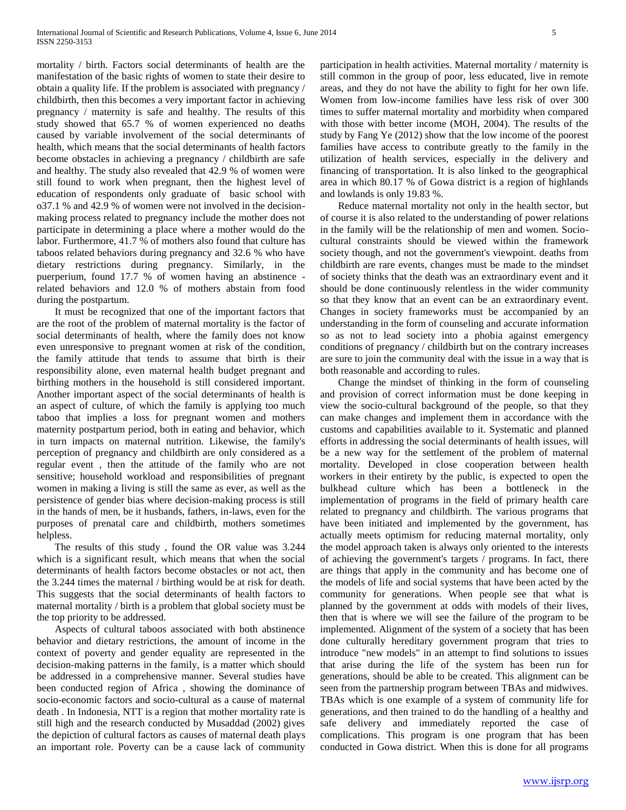mortality / birth. Factors social determinants of health are the manifestation of the basic rights of women to state their desire to obtain a quality life. If the problem is associated with pregnancy / childbirth, then this becomes a very important factor in achieving pregnancy / maternity is safe and healthy. The results of this study showed that 65.7 % of women experienced no deaths caused by variable involvement of the social determinants of health, which means that the social determinants of health factors become obstacles in achieving a pregnancy / childbirth are safe and healthy. The study also revealed that 42.9 % of women were still found to work when pregnant, then the highest level of education of respondents only graduate of basic school with o37.1 % and 42.9 % of women were not involved in the decisionmaking process related to pregnancy include the mother does not participate in determining a place where a mother would do the labor. Furthermore, 41.7 % of mothers also found that culture has taboos related behaviors during pregnancy and 32.6 % who have dietary restrictions during pregnancy. Similarly, in the puerperium, found 17.7 % of women having an abstinence related behaviors and 12.0 % of mothers abstain from food during the postpartum.

 It must be recognized that one of the important factors that are the root of the problem of maternal mortality is the factor of social determinants of health, where the family does not know even unresponsive to pregnant women at risk of the condition, the family attitude that tends to assume that birth is their responsibility alone, even maternal health budget pregnant and birthing mothers in the household is still considered important. Another important aspect of the social determinants of health is an aspect of culture, of which the family is applying too much taboo that implies a loss for pregnant women and mothers maternity postpartum period, both in eating and behavior, which in turn impacts on maternal nutrition. Likewise, the family's perception of pregnancy and childbirth are only considered as a regular event , then the attitude of the family who are not sensitive; household workload and responsibilities of pregnant women in making a living is still the same as ever, as well as the persistence of gender bias where decision-making process is still in the hands of men, be it husbands, fathers, in-laws, even for the purposes of prenatal care and childbirth, mothers sometimes helpless.

 The results of this study , found the OR value was 3.244 which is a significant result, which means that when the social determinants of health factors become obstacles or not act, then the 3.244 times the maternal / birthing would be at risk for death. This suggests that the social determinants of health factors to maternal mortality / birth is a problem that global society must be the top priority to be addressed.

 Aspects of cultural taboos associated with both abstinence behavior and dietary restrictions, the amount of income in the context of poverty and gender equality are represented in the decision-making patterns in the family, is a matter which should be addressed in a comprehensive manner. Several studies have been conducted region of Africa , showing the dominance of socio-economic factors and socio-cultural as a cause of maternal death . In Indonesia, NTT is a region that mother mortality rate is still high and the research conducted by Musaddad (2002) gives the depiction of cultural factors as causes of maternal death plays an important role. Poverty can be a cause lack of community participation in health activities. Maternal mortality / maternity is still common in the group of poor, less educated, live in remote areas, and they do not have the ability to fight for her own life. Women from low-income families have less risk of over 300 times to suffer maternal mortality and morbidity when compared with those with better income (MOH, 2004). The results of the study by Fang Ye (2012) show that the low income of the poorest families have access to contribute greatly to the family in the utilization of health services, especially in the delivery and financing of transportation. It is also linked to the geographical area in which 80.17 % of Gowa district is a region of highlands and lowlands is only 19.83 %.

 Reduce maternal mortality not only in the health sector, but of course it is also related to the understanding of power relations in the family will be the relationship of men and women. Sociocultural constraints should be viewed within the framework society though, and not the government's viewpoint. deaths from childbirth are rare events, changes must be made to the mindset of society thinks that the death was an extraordinary event and it should be done continuously relentless in the wider community so that they know that an event can be an extraordinary event. Changes in society frameworks must be accompanied by an understanding in the form of counseling and accurate information so as not to lead society into a phobia against emergency conditions of pregnancy / childbirth but on the contrary increases are sure to join the community deal with the issue in a way that is both reasonable and according to rules.

 Change the mindset of thinking in the form of counseling and provision of correct information must be done keeping in view the socio-cultural background of the people, so that they can make changes and implement them in accordance with the customs and capabilities available to it. Systematic and planned efforts in addressing the social determinants of health issues, will be a new way for the settlement of the problem of maternal mortality. Developed in close cooperation between health workers in their entirety by the public, is expected to open the bulkhead culture which has been a bottleneck in the implementation of programs in the field of primary health care related to pregnancy and childbirth. The various programs that have been initiated and implemented by the government, has actually meets optimism for reducing maternal mortality, only the model approach taken is always only oriented to the interests of achieving the government's targets / programs. In fact, there are things that apply in the community and has become one of the models of life and social systems that have been acted by the community for generations. When people see that what is planned by the government at odds with models of their lives, then that is where we will see the failure of the program to be implemented. Alignment of the system of a society that has been done culturally hereditary government program that tries to introduce "new models" in an attempt to find solutions to issues that arise during the life of the system has been run for generations, should be able to be created. This alignment can be seen from the partnership program between TBAs and midwives. TBAs which is one example of a system of community life for generations, and then trained to do the handling of a healthy and safe delivery and immediately reported the case of complications. This program is one program that has been conducted in Gowa district. When this is done for all programs